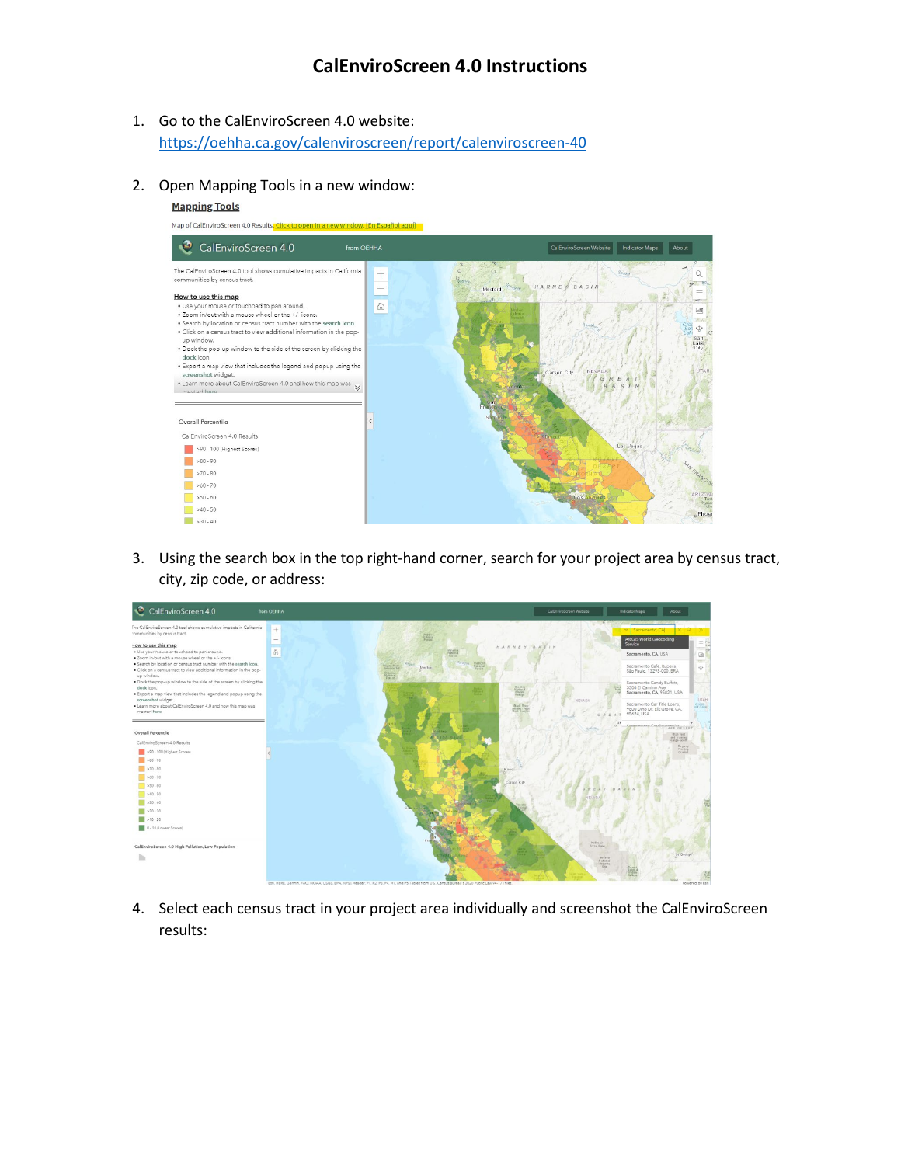## **CalEnviroScreen 4.0 Instructions**

- 1. Go to the CalEnviroScreen 4.0 website: https://oehha.ca.gov/calenviroscreen/report/calenviroscreen-40
- 2. Open Mapping Tools in a new window:

#### **Mapping Tools**



3. Using the search box in the top right-hand corner, search for your project area by census tract, city, zip code, or address:



4. Select each census tract in your project area individually and screenshot the CalEnviroScreen results: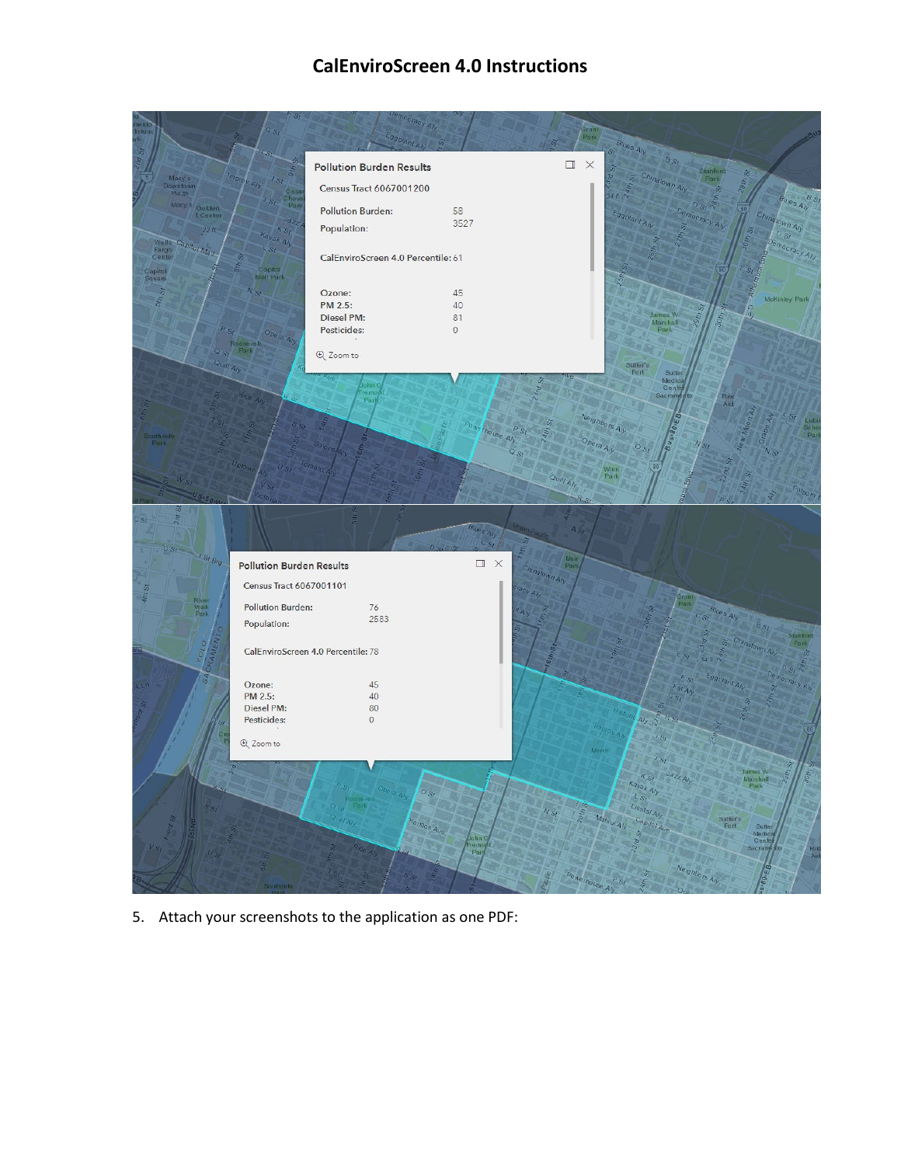# **CalEnviroScreen 4.0 Instructions**



5. Attach your screenshots to the application as one PDF: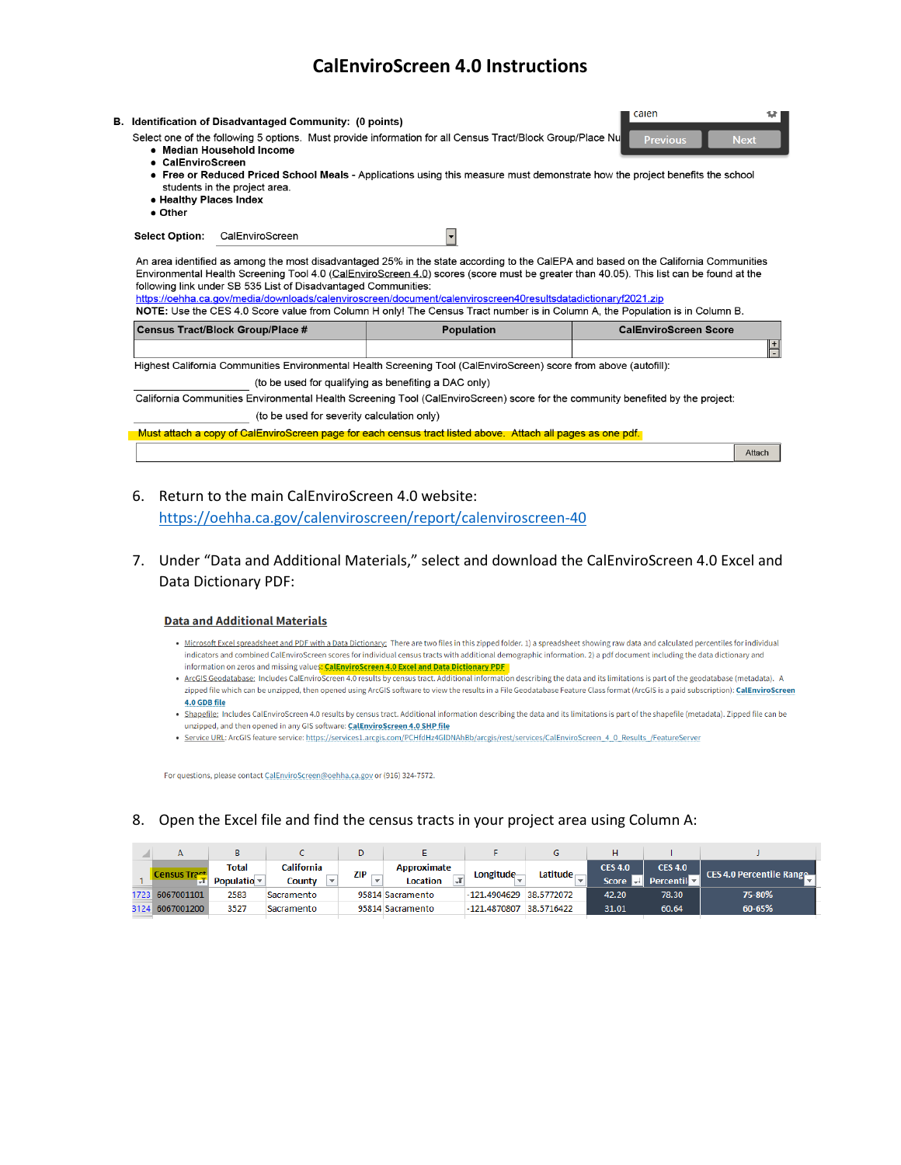### **CalEnviroScreen 4.0 Instructions**

| • CalEnviroScreen<br>• Healthy Places Index<br>• Other | B. Identification of Disadvantaged Community: (0 points)<br>• Median Household Income<br>students in the project area. | Select one of the following 5 options. Must provide information for all Census Tract/Block Group/Place Nu                                                                                                                                     | calen<br><b>Previous</b><br><b>Next</b><br>• Free or Reduced Priced School Meals - Applications using this measure must demonstrate how the project benefits the school                                                                                                       |
|--------------------------------------------------------|------------------------------------------------------------------------------------------------------------------------|-----------------------------------------------------------------------------------------------------------------------------------------------------------------------------------------------------------------------------------------------|-------------------------------------------------------------------------------------------------------------------------------------------------------------------------------------------------------------------------------------------------------------------------------|
| <b>Select Option:</b>                                  | CalEnviroScreen                                                                                                        | $\overline{\phantom{a}}$                                                                                                                                                                                                                      |                                                                                                                                                                                                                                                                               |
|                                                        | following link under SB 535 List of Disadvantaged Communities:                                                         | https://oehha.ca.gov/media/downloads/calenviroscreen/document/calenviroscreen40resultsdatadictionaryf2021.zip<br>NOTE: Use the CES 4.0 Score value from Column H only! The Census Tract number is in Column A, the Population is in Column B. | An area identified as among the most disadvantaged 25% in the state according to the CalEPA and based on the California Communities<br>Environmental Health Screening Tool 4.0 (CalEnviroScreen 4.0) scores (score must be greater than 40.05). This list can be found at the |
|                                                        | <b>Census Tract/Block Group/Place #</b>                                                                                | <b>Population</b>                                                                                                                                                                                                                             | <b>CalEnviroScreen Score</b>                                                                                                                                                                                                                                                  |
|                                                        |                                                                                                                        |                                                                                                                                                                                                                                               | $+$                                                                                                                                                                                                                                                                           |
|                                                        |                                                                                                                        | Highest California Communities Environmental Health Screening Tool (CalEnviroScreen) score from above (autofill):                                                                                                                             |                                                                                                                                                                                                                                                                               |
|                                                        |                                                                                                                        | (to be used for qualifying as benefiting a DAC only)                                                                                                                                                                                          |                                                                                                                                                                                                                                                                               |
|                                                        |                                                                                                                        | California Communities Environmental Health Screening Tool (CalEnviroScreen) score for the community benefited by the project:                                                                                                                |                                                                                                                                                                                                                                                                               |
|                                                        | (to be used for severity calculation only)                                                                             |                                                                                                                                                                                                                                               |                                                                                                                                                                                                                                                                               |

Must attach a copy of CalEnviroScreen page for each census tract listed above. Attach all pages as one pdf.

Attach

6. Return to the main CalEnviroScreen 4.0 website:

<https://oehha.ca.gov/calenviroscreen/report/calenviroscreen-40>

 7. Under "Data and Additional Materials," select and download the CalEnviroScreen 4.0 Excel and Data Dictionary PDF:

#### **Data and Additional Materials**

- Microsoft Excel spreadsheet and PDF with a Data Dictionary: There are two files in this zipped folder. 1) a spreadsheet showing raw data and calculated percentiles for individual indicators and combined CalEnviroScreen scores for individual census tracts with additional demographic information. 2) a pdf document including the data dictionary and information on zeros and missing values<mark>: CalEnviroScreen 4.0 Excel and Data Dictionary PDF</mark>
- ArcGIS Geodatabase: Includes CalEnviroScreen 4.0 results by census tract. Additional information describing the data and its limitations is part of the geodatabase (metadata). A zipped file which can be unzipped, then opened using ArcGIS software to view the results in a File Geodatabase Feature Class format (ArcGIS is a paid subscription): CalEnviroScreen 4.0GDBfile
- . Shapefile: Includes CalEnviroScreen 4.0 results by census tract. Additional information describing the data and its limitations is part of the shapefile (metadata). Zipped file can be unzipped, and then opened in any GIS software: CalEnviroScreen 4.0 SHP file
- · Service URL: ArcGIS feature service: https://services1.arcgis.com/PCHfdHz4GIDNAhBb/arcgis/rest/services/CalEnviroScreen\_4\_0\_Results\_/FeatureServer

For questions, please contact CalEnviroScreen@oehha.ca.gov or (916) 324-7572.

### 8. Open the Excel file and find the census tracts in your project area using Column A:

|       | А          |                  |            |            |                  |              |            |                            |                |                          |
|-------|------------|------------------|------------|------------|------------------|--------------|------------|----------------------------|----------------|--------------------------|
|       |            | Total            | California | <b>ZIP</b> | Approximate      | Longitude    | Latitude   | <b>CES 4.0</b>             | <b>CES 4.0</b> | CES 4.0 Percentile Range |
|       |            | Populatio $\sim$ | County     |            | Location         |              |            | Score <sup>-</sup><br>$+1$ | Percentil      |                          |
| '723' | 6067001101 | 2583             | Sacramento |            | 95814 Sacramento | -121.4904629 | 38.5772072 | 42.20                      | 78.30          | 75-80%                   |
| 3124  | 6067001200 | 3527             | Sacramento |            | 95814 Sacramento | -121.4870807 | 38.5716422 | 31.01                      | 60.64          | 60-65%                   |